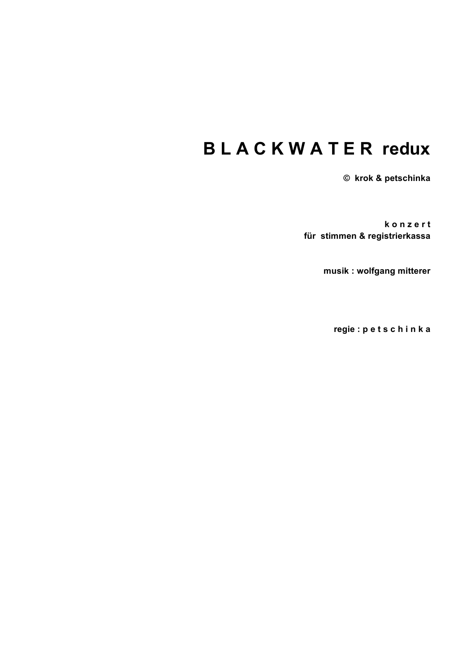# **B L A C K W A T E R redux**

**© krok & petschinka**

**k o n z e r t für stimmen & registrierkassa**

**musik : wolfgang mitterer**

**regie : p e t s c h i n k a**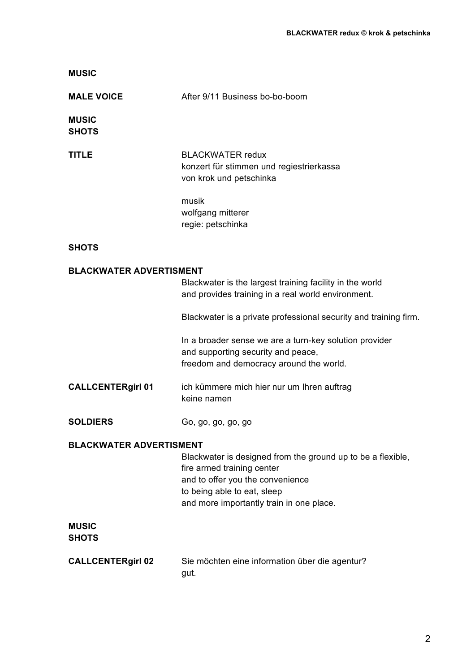|                                | After 9/11 Business bo-bo-boom                                                                                                                                                                           |
|--------------------------------|----------------------------------------------------------------------------------------------------------------------------------------------------------------------------------------------------------|
| <b>MALE VOICE</b>              |                                                                                                                                                                                                          |
| <b>MUSIC</b><br><b>SHOTS</b>   |                                                                                                                                                                                                          |
| <b>TITLE</b>                   | <b>BLACKWATER redux</b><br>konzert für stimmen und regiestrierkassa<br>von krok und petschinka                                                                                                           |
|                                | musik<br>wolfgang mitterer<br>regie: petschinka                                                                                                                                                          |
| <b>SHOTS</b>                   |                                                                                                                                                                                                          |
| <b>BLACKWATER ADVERTISMENT</b> |                                                                                                                                                                                                          |
|                                | Blackwater is the largest training facility in the world<br>and provides training in a real world environment.                                                                                           |
|                                | Blackwater is a private professional security and training firm.                                                                                                                                         |
|                                | In a broader sense we are a turn-key solution provider<br>and supporting security and peace,<br>freedom and democracy around the world.                                                                  |
| <b>CALLCENTERgirl 01</b>       | ich kümmere mich hier nur um Ihren auftrag<br>keine namen                                                                                                                                                |
| <b>SOLDIERS</b>                | Go, go, go, go, go                                                                                                                                                                                       |
| <b>BLACKWATER ADVERTISMENT</b> |                                                                                                                                                                                                          |
|                                | Blackwater is designed from the ground up to be a flexible,<br>fire armed training center<br>and to offer you the convenience<br>to being able to eat, sleep<br>and more importantly train in one place. |
| <b>MUSIC</b><br><b>SHOTS</b>   |                                                                                                                                                                                                          |
| <b>CALLCENTERgirl 02</b>       | Sie möchten eine information über die agentur?<br>gut.                                                                                                                                                   |

**MUSIC**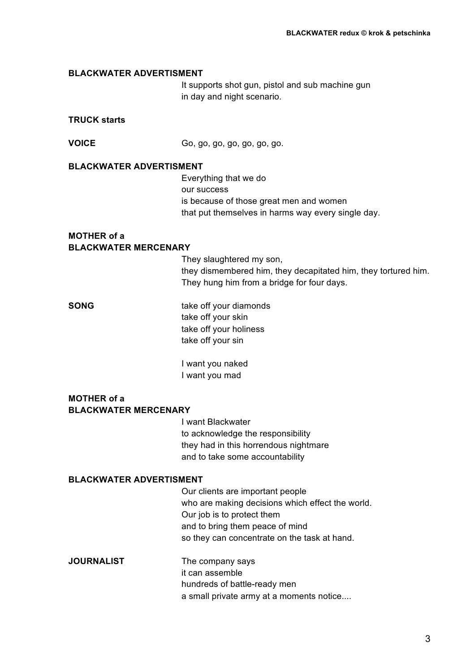#### **BLACKWATER ADVERTISMENT**

It supports shot gun, pistol and sub machine gun in day and night scenario.

# **TRUCK starts**

**VOICE** Go, go, go, go, go, go, go.

#### **BLACKWATER ADVERTISMENT**

Everything that we do our success is because of those great men and women that put themselves in harms way every single day.

## **MOTHER of a BLACKWATER MERCENARY**

They slaughtered my son, they dismembered him, they decapitated him, they tortured him. They hung him from a bridge for four days.

**SONG** take off your diamonds take off your skin take off your holiness take off your sin

> I want you naked I want you mad

# **MOTHER of a BLACKWATER MERCENARY**

I want Blackwater to acknowledge the responsibility they had in this horrendous nightmare and to take some accountability

#### **BLACKWATER ADVERTISMENT**

Our clients are important people who are making decisions which effect the world. Our job is to protect them and to bring them peace of mind so they can concentrate on the task at hand.

**JOURNALIST** The company says it can assemble hundreds of battle-ready men a small private army at a moments notice....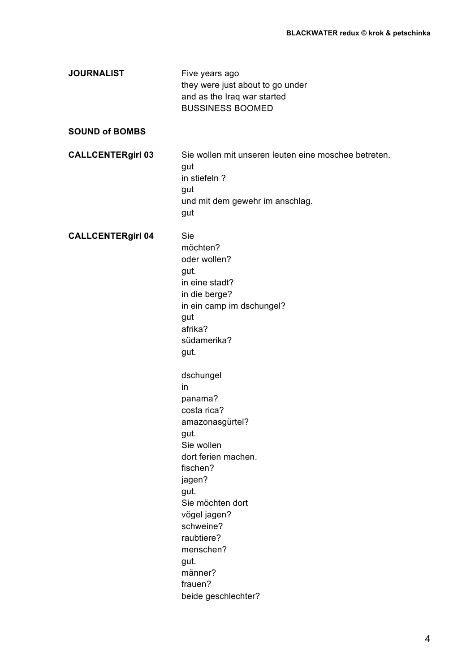| <b>JOURNALIST</b>        | Five years ago<br>they were just about to go under<br>and as the Iraq war started<br><b>BUSSINESS BOOMED</b>                                                                                                                                                                                                                                                                                                                 |
|--------------------------|------------------------------------------------------------------------------------------------------------------------------------------------------------------------------------------------------------------------------------------------------------------------------------------------------------------------------------------------------------------------------------------------------------------------------|
| <b>SOUND of BOMBS</b>    |                                                                                                                                                                                                                                                                                                                                                                                                                              |
| <b>CALLCENTERgirl 03</b> | Sie wollen mit unseren leuten eine moschee betreten.<br>gut<br>in stiefeln?<br>gut<br>und mit dem gewehr im anschlag.<br>gut                                                                                                                                                                                                                                                                                                 |
| <b>CALLCENTERgirl 04</b> | Sie<br>möchten?<br>oder wollen?<br>gut.<br>in eine stadt?<br>in die berge?<br>in ein camp im dschungel?<br>gut<br>afrika?<br>südamerika?<br>gut.<br>dschungel<br>in<br>panama?<br>costa rica?<br>amazonasgürtel?<br>gut.<br>Sie wollen<br>dort ferien machen.<br>fischen?<br>jagen?<br>gut.<br>Sie möchten dort<br>vögel jagen?<br>schweine?<br>raubtiere?<br>menschen?<br>gut.<br>männer?<br>frauen?<br>beide geschlechter? |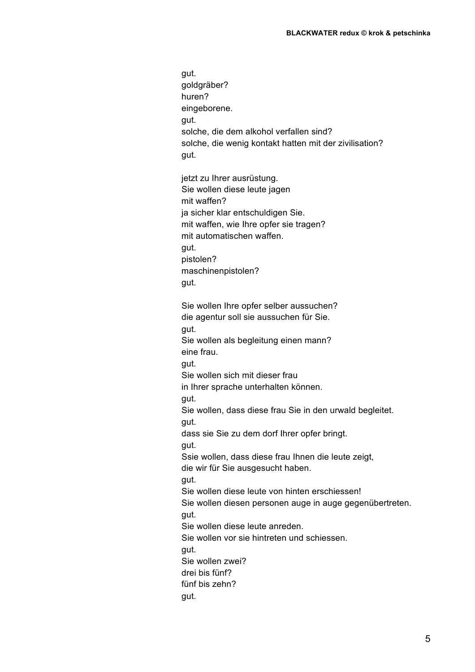gut. goldgräber? huren? eingeborene. gut. solche, die dem alkohol verfallen sind? solche, die wenig kontakt hatten mit der zivilisation? gut. jetzt zu Ihrer ausrüstung. Sie wollen diese leute jagen mit waffen? ja sicher klar entschuldigen Sie. mit waffen, wie Ihre opfer sie tragen? mit automatischen waffen. gut. pistolen? maschinenpistolen? gut. Sie wollen Ihre opfer selber aussuchen? die agentur soll sie aussuchen für Sie. gut. Sie wollen als begleitung einen mann? eine frau. gut. Sie wollen sich mit dieser frau in Ihrer sprache unterhalten können. gut. Sie wollen, dass diese frau Sie in den urwald begleitet. gut. dass sie Sie zu dem dorf Ihrer opfer bringt. gut. Ssie wollen, dass diese frau Ihnen die leute zeigt, die wir für Sie ausgesucht haben. gut. Sie wollen diese leute von hinten erschiessen! Sie wollen diesen personen auge in auge gegenübertreten. gut. Sie wollen diese leute anreden. Sie wollen vor sie hintreten und schiessen. gut. Sie wollen zwei? drei bis fünf? fünf bis zehn? gut.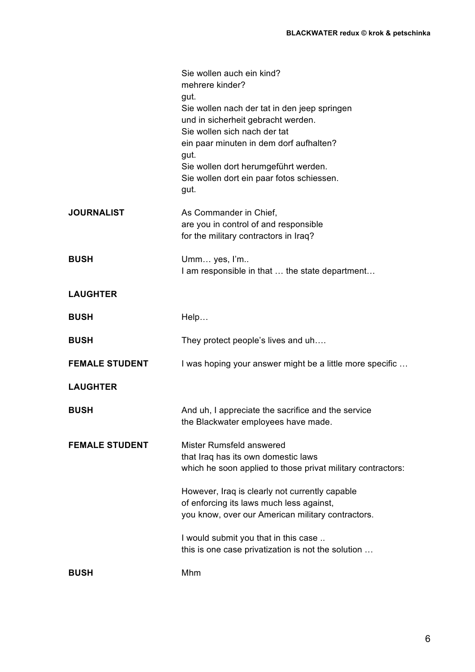|                       | Sie wollen auch ein kind?<br>mehrere kinder?<br>gut.<br>Sie wollen nach der tat in den jeep springen<br>und in sicherheit gebracht werden.<br>Sie wollen sich nach der tat<br>ein paar minuten in dem dorf aufhalten?<br>gut.<br>Sie wollen dort herumgeführt werden.<br>Sie wollen dort ein paar fotos schiessen.<br>gut. |
|-----------------------|----------------------------------------------------------------------------------------------------------------------------------------------------------------------------------------------------------------------------------------------------------------------------------------------------------------------------|
| <b>JOURNALIST</b>     | As Commander in Chief,<br>are you in control of and responsible<br>for the military contractors in Iraq?                                                                                                                                                                                                                   |
| <b>BUSH</b>           | Umm yes, I'm<br>I am responsible in that  the state department                                                                                                                                                                                                                                                             |
| <b>LAUGHTER</b>       |                                                                                                                                                                                                                                                                                                                            |
| <b>BUSH</b>           | Help                                                                                                                                                                                                                                                                                                                       |
| <b>BUSH</b>           | They protect people's lives and uh                                                                                                                                                                                                                                                                                         |
| <b>FEMALE STUDENT</b> | I was hoping your answer might be a little more specific                                                                                                                                                                                                                                                                   |
| <b>LAUGHTER</b>       |                                                                                                                                                                                                                                                                                                                            |
| <b>BUSH</b>           | And uh, I appreciate the sacrifice and the service<br>the Blackwater employees have made.                                                                                                                                                                                                                                  |
| <b>FEMALE STUDENT</b> | Mister Rumsfeld answered<br>that Iraq has its own domestic laws<br>which he soon applied to those privat military contractors:                                                                                                                                                                                             |
|                       | However, Iraq is clearly not currently capable<br>of enforcing its laws much less against,<br>you know, over our American military contractors.                                                                                                                                                                            |
|                       | I would submit you that in this case<br>this is one case privatization is not the solution                                                                                                                                                                                                                                 |
| <b>BUSH</b>           | Mhm                                                                                                                                                                                                                                                                                                                        |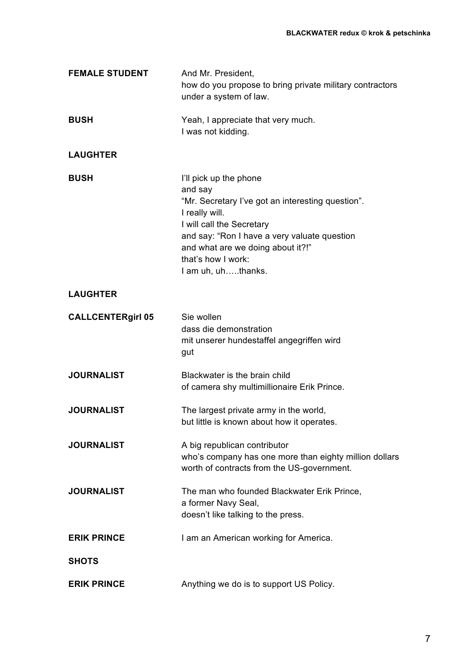| <b>FEMALE STUDENT</b>    | And Mr. President,<br>how do you propose to bring private military contractors<br>under a system of law.                                                                                                                                                               |
|--------------------------|------------------------------------------------------------------------------------------------------------------------------------------------------------------------------------------------------------------------------------------------------------------------|
| <b>BUSH</b>              | Yeah, I appreciate that very much.<br>I was not kidding.                                                                                                                                                                                                               |
| <b>LAUGHTER</b>          |                                                                                                                                                                                                                                                                        |
| <b>BUSH</b>              | I'll pick up the phone<br>and say<br>"Mr. Secretary I've got an interesting question".<br>I really will.<br>I will call the Secretary<br>and say: "Ron I have a very valuate question<br>and what are we doing about it?!"<br>that's how I work:<br>I am uh, uhthanks. |
| <b>LAUGHTER</b>          |                                                                                                                                                                                                                                                                        |
| <b>CALLCENTERgirl 05</b> | Sie wollen<br>dass die demonstration<br>mit unserer hundestaffel angegriffen wird<br>gut                                                                                                                                                                               |
| <b>JOURNALIST</b>        | Blackwater is the brain child<br>of camera shy multimillionaire Erik Prince.                                                                                                                                                                                           |
| <b>JOURNALIST</b>        | The largest private army in the world,<br>but little is known about how it operates.                                                                                                                                                                                   |
| <b>JOURNALIST</b>        | A big republican contributor<br>who's company has one more than eighty million dollars<br>worth of contracts from the US-government.                                                                                                                                   |
| <b>JOURNALIST</b>        | The man who founded Blackwater Erik Prince,<br>a former Navy Seal,<br>doesn't like talking to the press.                                                                                                                                                               |
| <b>ERIK PRINCE</b>       | I am an American working for America.                                                                                                                                                                                                                                  |
| <b>SHOTS</b>             |                                                                                                                                                                                                                                                                        |
| <b>ERIK PRINCE</b>       | Anything we do is to support US Policy.                                                                                                                                                                                                                                |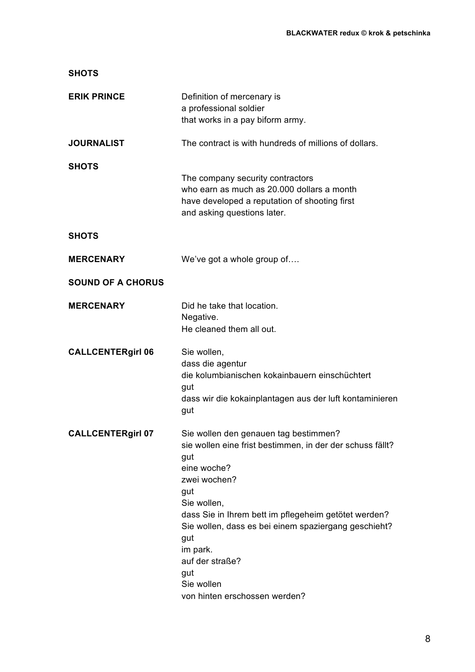| <b>SHOTS</b>             |                                                                                                                                                                                                                                                                                                                                                                            |
|--------------------------|----------------------------------------------------------------------------------------------------------------------------------------------------------------------------------------------------------------------------------------------------------------------------------------------------------------------------------------------------------------------------|
| <b>ERIK PRINCE</b>       | Definition of mercenary is<br>a professional soldier<br>that works in a pay biform army.                                                                                                                                                                                                                                                                                   |
| <b>JOURNALIST</b>        | The contract is with hundreds of millions of dollars.                                                                                                                                                                                                                                                                                                                      |
| <b>SHOTS</b>             | The company security contractors<br>who earn as much as 20,000 dollars a month<br>have developed a reputation of shooting first<br>and asking questions later.                                                                                                                                                                                                             |
| <b>SHOTS</b>             |                                                                                                                                                                                                                                                                                                                                                                            |
| <b>MERCENARY</b>         | We've got a whole group of                                                                                                                                                                                                                                                                                                                                                 |
| <b>SOUND OF A CHORUS</b> |                                                                                                                                                                                                                                                                                                                                                                            |
| <b>MERCENARY</b>         | Did he take that location.<br>Negative.<br>He cleaned them all out.                                                                                                                                                                                                                                                                                                        |
| <b>CALLCENTERgirl 06</b> | Sie wollen,<br>dass die agentur<br>die kolumbianischen kokainbauern einschüchtert<br>gut<br>dass wir die kokainplantagen aus der luft kontaminieren<br>gut                                                                                                                                                                                                                 |
| <b>CALLCENTERgirl 07</b> | Sie wollen den genauen tag bestimmen?<br>sie wollen eine frist bestimmen, in der der schuss fällt?<br>gut<br>eine woche?<br>zwei wochen?<br>gut<br>Sie wollen,<br>dass Sie in Ihrem bett im pflegeheim getötet werden?<br>Sie wollen, dass es bei einem spaziergang geschieht?<br>gut<br>im park.<br>auf der straße?<br>gut<br>Sie wollen<br>von hinten erschossen werden? |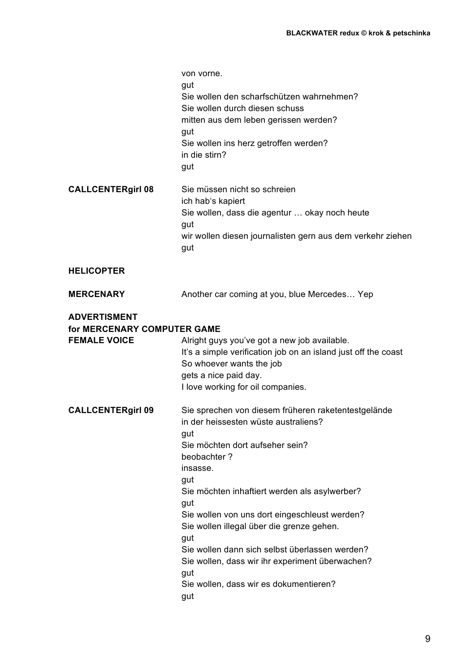|                                                                           | von vorne.<br>gut<br>Sie wollen den scharfschützen wahrnehmen?<br>Sie wollen durch diesen schuss<br>mitten aus dem leben gerissen werden?<br>gut<br>Sie wollen ins herz getroffen werden?<br>in die stirn?<br>gut                                                                                                                                                                                                                                                                                 |
|---------------------------------------------------------------------------|---------------------------------------------------------------------------------------------------------------------------------------------------------------------------------------------------------------------------------------------------------------------------------------------------------------------------------------------------------------------------------------------------------------------------------------------------------------------------------------------------|
| <b>CALLCENTERgirl 08</b>                                                  | Sie müssen nicht so schreien<br>ich hab's kapiert<br>Sie wollen, dass die agentur  okay noch heute<br>gut<br>wir wollen diesen journalisten gern aus dem verkehr ziehen<br>gut                                                                                                                                                                                                                                                                                                                    |
| <b>HELICOPTER</b>                                                         |                                                                                                                                                                                                                                                                                                                                                                                                                                                                                                   |
| <b>MERCENARY</b>                                                          | Another car coming at you, blue Mercedes Yep                                                                                                                                                                                                                                                                                                                                                                                                                                                      |
| <b>ADVERTISMENT</b><br>for MERCENARY COMPUTER GAME<br><b>FEMALE VOICE</b> | Alright guys you've got a new job available.<br>It's a simple verification job on an island just off the coast<br>So whoever wants the job<br>gets a nice paid day.<br>I love working for oil companies.                                                                                                                                                                                                                                                                                          |
| <b>CALLCENTERgirl 09</b>                                                  | Sie sprechen von diesem früheren raketentestgelände<br>in der heissesten wüste australiens?<br>gut<br>Sie möchten dort aufseher sein?<br>beobachter?<br>insasse.<br>gut<br>Sie möchten inhaftiert werden als asylwerber?<br>gut<br>Sie wollen von uns dort eingeschleust werden?<br>Sie wollen illegal über die grenze gehen.<br>gut<br>Sie wollen dann sich selbst überlassen werden?<br>Sie wollen, dass wir ihr experiment überwachen?<br>gut<br>Sie wollen, dass wir es dokumentieren?<br>gut |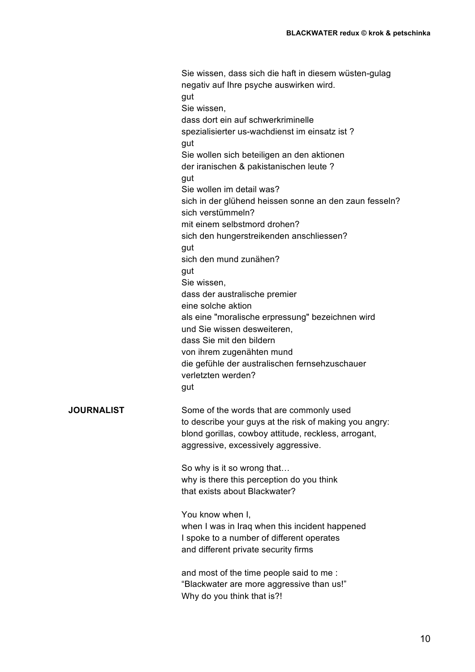Sie wissen, dass sich die haft in diesem wüsten-gulag negativ auf Ihre psyche auswirken wird. gut Sie wissen, dass dort ein auf schwerkriminelle spezialisierter us-wachdienst im einsatz ist ? aut Sie wollen sich beteiligen an den aktionen der iranischen & pakistanischen leute ? gut Sie wollen im detail was? sich in der glühend heissen sonne an den zaun fesseln? sich verstümmeln? mit einem selbstmord drohen? sich den hungerstreikenden anschliessen? gut sich den mund zunähen? gut Sie wissen, dass der australische premier eine solche aktion als eine "moralische erpressung" bezeichnen wird und Sie wissen desweiteren, dass Sie mit den bildern von ihrem zugenähten mund die gefühle der australischen fernsehzuschauer verletzten werden? gut **JOURNALIST** Some of the words that are commonly used to describe your guys at the risk of making you angry: blond gorillas, cowboy attitude, reckless, arrogant, aggressive, excessively aggressive. So why is it so wrong that… why is there this perception do you think that exists about Blackwater? You know when I, when I was in Iraq when this incident happened I spoke to a number of different operates and different private security firms and most of the time people said to me : "Blackwater are more aggressive than us!" Why do you think that is?!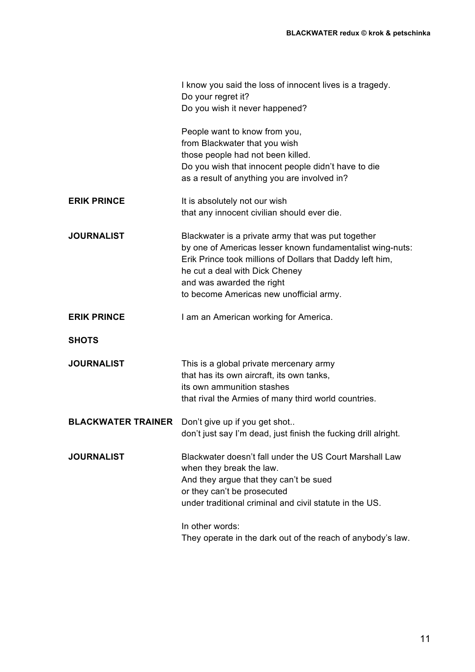|                           | I know you said the loss of innocent lives is a tragedy.<br>Do your regret it?                                                                                                                                                                                                         |
|---------------------------|----------------------------------------------------------------------------------------------------------------------------------------------------------------------------------------------------------------------------------------------------------------------------------------|
|                           | Do you wish it never happened?                                                                                                                                                                                                                                                         |
|                           | People want to know from you,<br>from Blackwater that you wish                                                                                                                                                                                                                         |
|                           | those people had not been killed.                                                                                                                                                                                                                                                      |
|                           | Do you wish that innocent people didn't have to die<br>as a result of anything you are involved in?                                                                                                                                                                                    |
| <b>ERIK PRINCE</b>        | It is absolutely not our wish                                                                                                                                                                                                                                                          |
|                           | that any innocent civilian should ever die.                                                                                                                                                                                                                                            |
| <b>JOURNALIST</b>         | Blackwater is a private army that was put together<br>by one of Americas lesser known fundamentalist wing-nuts:<br>Erik Prince took millions of Dollars that Daddy left him,<br>he cut a deal with Dick Cheney<br>and was awarded the right<br>to become Americas new unofficial army. |
| <b>ERIK PRINCE</b>        | I am an American working for America.                                                                                                                                                                                                                                                  |
| <b>SHOTS</b>              |                                                                                                                                                                                                                                                                                        |
| <b>JOURNALIST</b>         | This is a global private mercenary army<br>that has its own aircraft, its own tanks,<br>its own ammunition stashes<br>that rival the Armies of many third world countries.                                                                                                             |
| <b>BLACKWATER TRAINER</b> | Don't give up if you get shot<br>don't just say I'm dead, just finish the fucking drill alright.                                                                                                                                                                                       |
| <b>JOURNALIST</b>         | Blackwater doesn't fall under the US Court Marshall Law<br>when they break the law.<br>And they argue that they can't be sued<br>or they can't be prosecuted<br>under traditional criminal and civil statute in the US.                                                                |
|                           | In other words:<br>They operate in the dark out of the reach of anybody's law.                                                                                                                                                                                                         |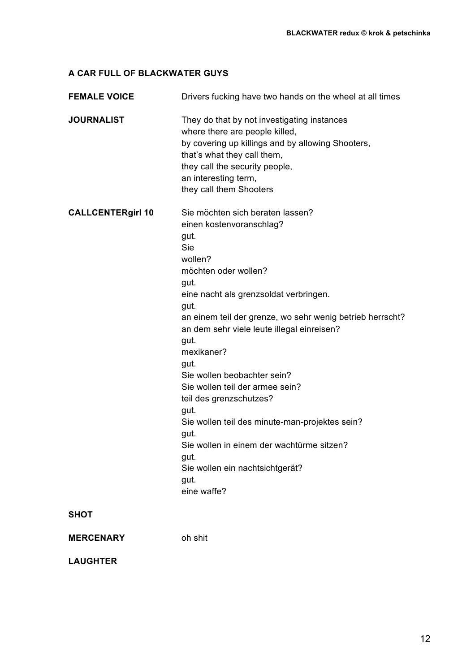# **A CAR FULL OF BLACKWATER GUYS**

| <b>FEMALE VOICE</b>      | Drivers fucking have two hands on the wheel at all times                                                                                                                                                                                                                                                                                                                                                                                                                                                                                                                                        |
|--------------------------|-------------------------------------------------------------------------------------------------------------------------------------------------------------------------------------------------------------------------------------------------------------------------------------------------------------------------------------------------------------------------------------------------------------------------------------------------------------------------------------------------------------------------------------------------------------------------------------------------|
| <b>JOURNALIST</b>        | They do that by not investigating instances<br>where there are people killed,<br>by covering up killings and by allowing Shooters,<br>that's what they call them,<br>they call the security people,<br>an interesting term,<br>they call them Shooters                                                                                                                                                                                                                                                                                                                                          |
| <b>CALLCENTERgirl 10</b> | Sie möchten sich beraten lassen?<br>einen kostenvoranschlag?<br>gut.<br>Sie<br>wollen?<br>möchten oder wollen?<br>gut.<br>eine nacht als grenzsoldat verbringen.<br>gut.<br>an einem teil der grenze, wo sehr wenig betrieb herrscht?<br>an dem sehr viele leute illegal einreisen?<br>gut.<br>mexikaner?<br>gut.<br>Sie wollen beobachter sein?<br>Sie wollen teil der armee sein?<br>teil des grenzschutzes?<br>gut.<br>Sie wollen teil des minute-man-projektes sein?<br>gut.<br>Sie wollen in einem der wachtürme sitzen?<br>gut.<br>Sie wollen ein nachtsichtgerät?<br>gut.<br>eine waffe? |
| <b>SHOT</b>              |                                                                                                                                                                                                                                                                                                                                                                                                                                                                                                                                                                                                 |
| <b>MERCENARY</b>         | oh shit                                                                                                                                                                                                                                                                                                                                                                                                                                                                                                                                                                                         |
|                          |                                                                                                                                                                                                                                                                                                                                                                                                                                                                                                                                                                                                 |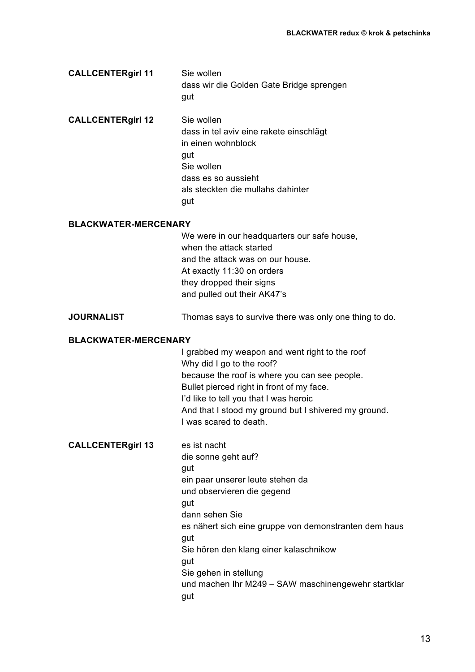| <b>CALLCENTERgirl 11</b> | Sie wollen                               |
|--------------------------|------------------------------------------|
|                          | dass wir die Golden Gate Bridge sprengen |
|                          | aut                                      |

**CALLCENTERgirl 12** Sie wollen dass in tel aviv eine rakete einschlägt in einen wohnblock gut Sie wollen dass es so aussieht als steckten die mullahs dahinter gut

#### **BLACKWATER-MERCENARY**

We were in our headquarters our safe house, when the attack started and the attack was on our house. At exactly 11:30 on orders they dropped their signs and pulled out their AK47's

#### **JOURNALIST** Thomas says to survive there was only one thing to do.

# **BLACKWATER-MERCENARY**

I grabbed my weapon and went right to the roof Why did I go to the roof? because the roof is where you can see people. Bullet pierced right in front of my face. I'd like to tell you that I was heroic And that I stood my ground but I shivered my ground. I was scared to death.

**CALLCENTERgirl 13** es ist nacht

die sonne geht auf? gut ein paar unserer leute stehen da und observieren die gegend gut dann sehen Sie es nähert sich eine gruppe von demonstranten dem haus gut Sie hören den klang einer kalaschnikow gut Sie gehen in stellung und machen Ihr M249 – SAW maschinengewehr startklar gut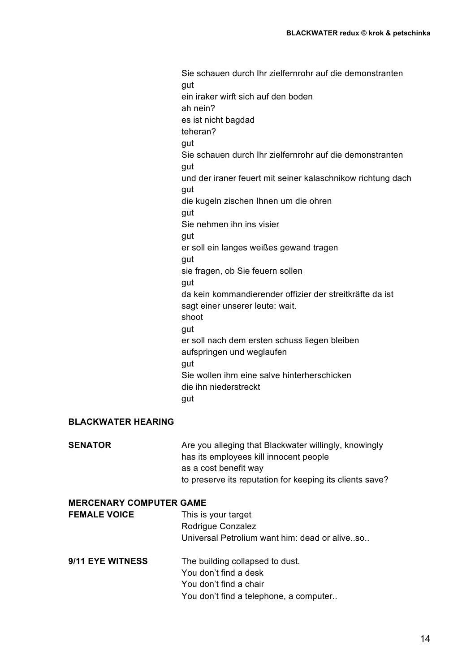Sie schauen durch Ihr zielfernrohr auf die demonstranten gut ein iraker wirft sich auf den boden ah nein? es ist nicht bagdad teheran? aut Sie schauen durch Ihr zielfernrohr auf die demonstranten gut und der iraner feuert mit seiner kalaschnikow richtung dach gut die kugeln zischen Ihnen um die ohren gut Sie nehmen ihn ins visier gut er soll ein langes weißes gewand tragen gut sie fragen, ob Sie feuern sollen gut da kein kommandierender offizier der streitkräfte da ist sagt einer unserer leute: wait. shoot gut er soll nach dem ersten schuss liegen bleiben aufspringen und weglaufen qut Sie wollen ihm eine salve hinterherschicken die ihn niederstreckt gut

### **BLACKWATER HEARING**

**SENATOR** Are you alleging that Blackwater willingly, knowingly has its employees kill innocent people as a cost benefit way to preserve its reputation for keeping its clients save?

# **MERCENARY COMPUTER GAME FEMALE VOICE** This is your target Rodrigue Conzalez

| Rodrigue Conzalez                             |
|-----------------------------------------------|
| Universal Petrolium want him: dead or aliveso |
|                                               |

9/11 EYE WITNESS The building collapsed to dust. You don't find a desk You don't find a chair You don't find a telephone, a computer..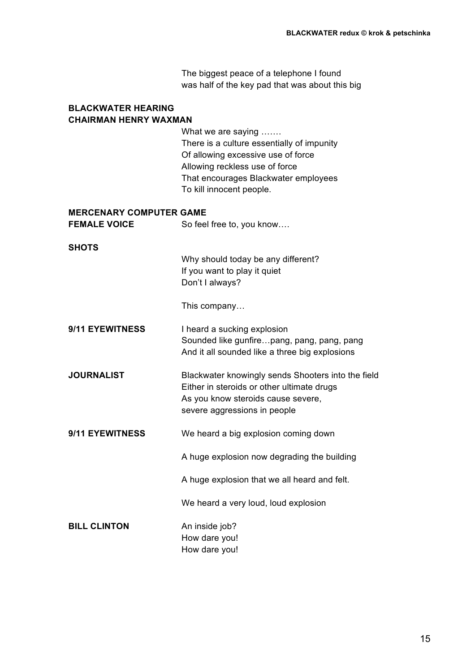The biggest peace of a telephone I found was half of the key pad that was about this big

# **BLACKWATER HEARING CHAIRMAN HENRY WAXMAN**

What we are saying ……. There is a culture essentially of impunity Of allowing excessive use of force Allowing reckless use of force That encourages Blackwater employees To kill innocent people.

# **MERCENARY COMPUTER GAME**

| <b>FEMALE VOICE</b> | So feel free to, you know |
|---------------------|---------------------------|
|---------------------|---------------------------|

#### **SHOTS**

Why should today be any different? If you want to play it quiet Don't I always?

This company…

# **9/11 EYEWITNESS** I heard a sucking explosion Sounded like gunfire…pang, pang, pang, pang And it all sounded like a three big explosions

- **JOURNALIST** Blackwater knowingly sends Shooters into the field Either in steroids or other ultimate drugs As you know steroids cause severe, severe aggressions in people
- **9/11 EYEWITNESS** We heard a big explosion coming down

A huge explosion now degrading the building

A huge explosion that we all heard and felt.

We heard a very loud, loud explosion

# **BILL CLINTON** An inside job?

How dare you! How dare you!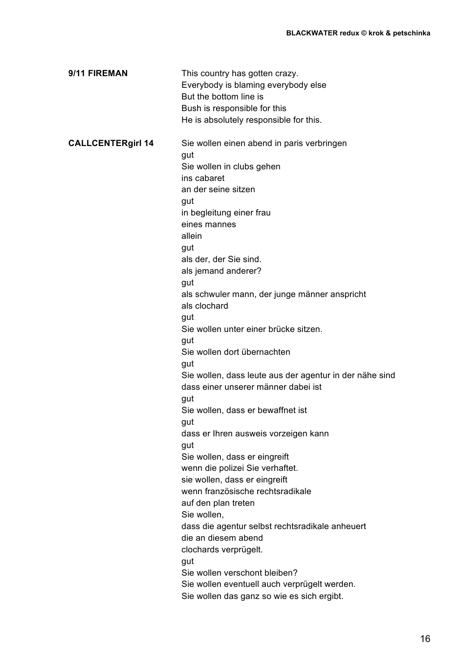| 9/11 FIREMAN             | This country has gotten crazy.<br>Everybody is blaming everybody else<br>But the bottom line is<br>Bush is responsible for this<br>He is absolutely responsible for this. |
|--------------------------|---------------------------------------------------------------------------------------------------------------------------------------------------------------------------|
| <b>CALLCENTERgirl 14</b> | Sie wollen einen abend in paris verbringen<br>gut                                                                                                                         |
|                          | Sie wollen in clubs gehen                                                                                                                                                 |
|                          | ins cabaret                                                                                                                                                               |
|                          | an der seine sitzen                                                                                                                                                       |
|                          | gut                                                                                                                                                                       |
|                          | in begleitung einer frau                                                                                                                                                  |
|                          | eines mannes<br>allein                                                                                                                                                    |
|                          |                                                                                                                                                                           |
|                          | gut<br>als der, der Sie sind.                                                                                                                                             |
|                          | als jemand anderer?                                                                                                                                                       |
|                          | gut                                                                                                                                                                       |
|                          | als schwuler mann, der junge männer anspricht                                                                                                                             |
|                          | als clochard                                                                                                                                                              |
|                          | gut                                                                                                                                                                       |
|                          | Sie wollen unter einer brücke sitzen.                                                                                                                                     |
|                          | gut                                                                                                                                                                       |
|                          | Sie wollen dort übernachten                                                                                                                                               |
|                          | gut                                                                                                                                                                       |
|                          | Sie wollen, dass leute aus der agentur in der nähe sind                                                                                                                   |
|                          | dass einer unserer männer dabei ist                                                                                                                                       |
|                          | gut                                                                                                                                                                       |
|                          | Sie wollen, dass er bewaffnet ist                                                                                                                                         |
|                          | gut<br>dass er Ihren ausweis vorzeigen kann                                                                                                                               |
|                          | gut                                                                                                                                                                       |
|                          | Sie wollen, dass er eingreift                                                                                                                                             |
|                          | wenn die polizei Sie verhaftet.                                                                                                                                           |
|                          | sie wollen, dass er eingreift                                                                                                                                             |
|                          | wenn französische rechtsradikale                                                                                                                                          |
|                          | auf den plan treten                                                                                                                                                       |
|                          | Sie wollen,                                                                                                                                                               |
|                          | dass die agentur selbst rechtsradikale anheuert                                                                                                                           |
|                          | die an diesem abend                                                                                                                                                       |
|                          | clochards verprügelt.                                                                                                                                                     |
|                          | gut                                                                                                                                                                       |
|                          | Sie wollen verschont bleiben?                                                                                                                                             |
|                          | Sie wollen eventuell auch verprügelt werden.                                                                                                                              |
|                          | Sie wollen das ganz so wie es sich ergibt.                                                                                                                                |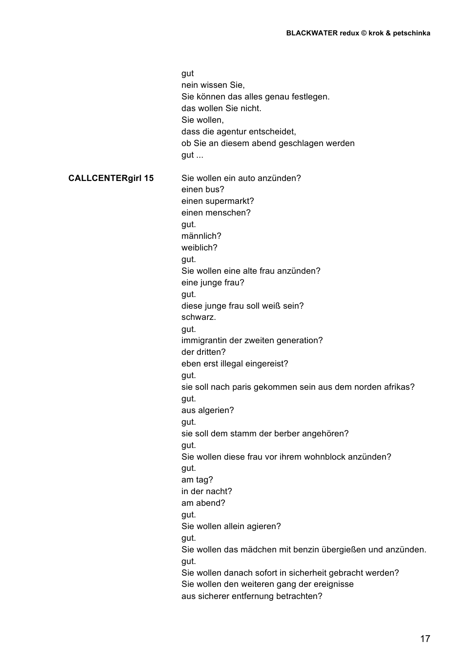gut nein wissen Sie, Sie können das alles genau festlegen. das wollen Sie nicht. Sie wollen, dass die agentur entscheidet, ob Sie an diesem abend geschlagen werden gut ... **CALLCENTERgirl 15** Sie wollen ein auto anzünden? einen bus? einen supermarkt? einen menschen? gut. männlich? weiblich? gut. Sie wollen eine alte frau anzünden? eine junge frau? gut. diese junge frau soll weiß sein? schwarz. gut. immigrantin der zweiten generation? der dritten? eben erst illegal eingereist? gut. sie soll nach paris gekommen sein aus dem norden afrikas? gut. aus algerien? gut. sie soll dem stamm der berber angehören? gut. Sie wollen diese frau vor ihrem wohnblock anzünden? gut. am tag? in der nacht? am abend? gut. Sie wollen allein agieren? gut. Sie wollen das mädchen mit benzin übergießen und anzünden. gut. Sie wollen danach sofort in sicherheit gebracht werden? Sie wollen den weiteren gang der ereignisse aus sicherer entfernung betrachten?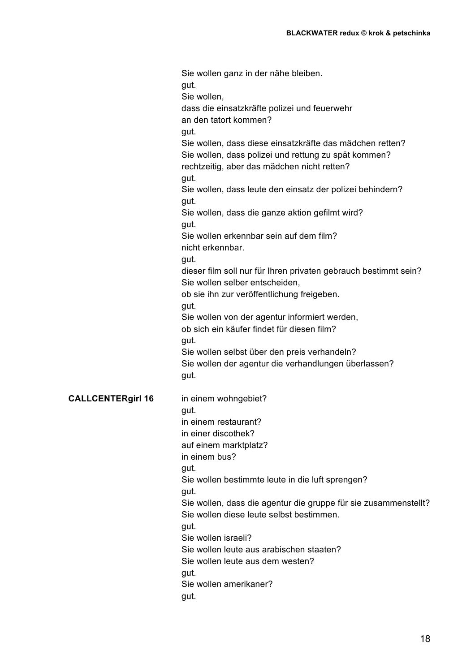Sie wollen ganz in der nähe bleiben. gut. Sie wollen, dass die einsatzkräfte polizei und feuerwehr an den tatort kommen? gut. Sie wollen, dass diese einsatzkräfte das mädchen retten? Sie wollen, dass polizei und rettung zu spät kommen? rechtzeitig, aber das mädchen nicht retten? gut. Sie wollen, dass leute den einsatz der polizei behindern? gut. Sie wollen, dass die ganze aktion gefilmt wird? gut. Sie wollen erkennbar sein auf dem film? nicht erkennbar. gut. dieser film soll nur für Ihren privaten gebrauch bestimmt sein? Sie wollen selber entscheiden, ob sie ihn zur veröffentlichung freigeben. gut. Sie wollen von der agentur informiert werden, ob sich ein käufer findet für diesen film? gut. Sie wollen selbst über den preis verhandeln? Sie wollen der agentur die verhandlungen überlassen? gut. **CALLCENTERgirl 16** in einem wohngebiet? gut. in einem restaurant? in einer discothek? auf einem marktplatz? in einem bus? gut. Sie wollen bestimmte leute in die luft sprengen? gut. Sie wollen, dass die agentur die gruppe für sie zusammenstellt? Sie wollen diese leute selbst bestimmen. gut. Sie wollen israeli? Sie wollen leute aus arabischen staaten? Sie wollen leute aus dem westen? gut. Sie wollen amerikaner? gut.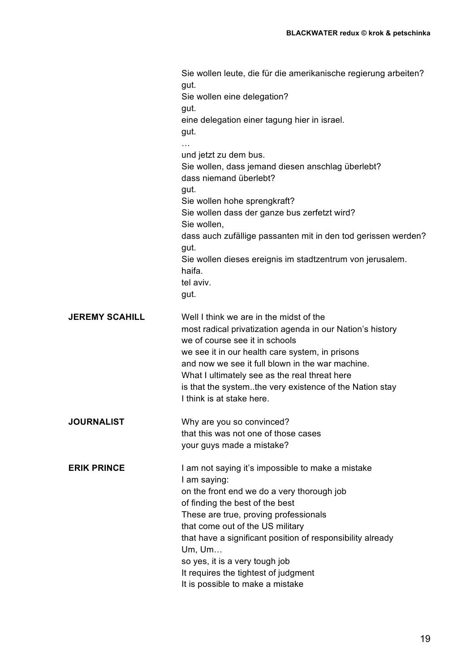|                       | Sie wollen leute, die für die amerikanische regierung arbeiten?<br>gut.<br>Sie wollen eine delegation?<br>gut.<br>eine delegation einer tagung hier in israel.<br>gut.                                                                                                                                                                                                                                                |
|-----------------------|-----------------------------------------------------------------------------------------------------------------------------------------------------------------------------------------------------------------------------------------------------------------------------------------------------------------------------------------------------------------------------------------------------------------------|
|                       | und jetzt zu dem bus.<br>Sie wollen, dass jemand diesen anschlag überlebt?<br>dass niemand überlebt?<br>gut.<br>Sie wollen hohe sprengkraft?<br>Sie wollen dass der ganze bus zerfetzt wird?<br>Sie wollen,<br>dass auch zufällige passanten mit in den tod gerissen werden?<br>gut.<br>Sie wollen dieses ereignis im stadtzentrum von jerusalem.<br>haifa.<br>tel aviv.                                              |
| <b>JEREMY SCAHILL</b> | gut.<br>Well I think we are in the midst of the<br>most radical privatization agenda in our Nation's history<br>we of course see it in schools<br>we see it in our health care system, in prisons<br>and now we see it full blown in the war machine.<br>What I ultimately see as the real threat here<br>is that the systemthe very existence of the Nation stay<br>I think is at stake here.                        |
| <b>JOURNALIST</b>     | Why are you so convinced?<br>that this was not one of those cases<br>your guys made a mistake?                                                                                                                                                                                                                                                                                                                        |
| <b>ERIK PRINCE</b>    | I am not saying it's impossible to make a mistake<br>I am saying:<br>on the front end we do a very thorough job<br>of finding the best of the best<br>These are true, proving professionals<br>that come out of the US military<br>that have a significant position of responsibility already<br>Um, Um<br>so yes, it is a very tough job<br>It requires the tightest of judgment<br>It is possible to make a mistake |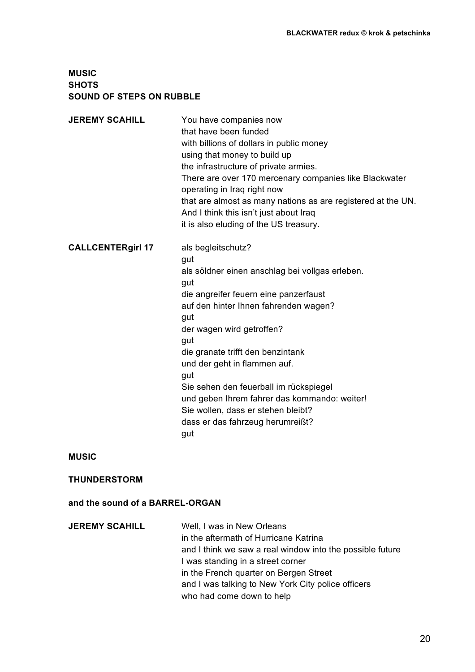# **MUSIC SHOTS SOUND OF STEPS ON RUBBLE**

| <b>JEREMY SCAHILL</b>    | You have companies now<br>that have been funded<br>with billions of dollars in public money<br>using that money to build up<br>the infrastructure of private armies.<br>There are over 170 mercenary companies like Blackwater<br>operating in Iraq right now<br>that are almost as many nations as are registered at the UN.<br>And I think this isn't just about Iraq<br>it is also eluding of the US treasury.                                                       |
|--------------------------|-------------------------------------------------------------------------------------------------------------------------------------------------------------------------------------------------------------------------------------------------------------------------------------------------------------------------------------------------------------------------------------------------------------------------------------------------------------------------|
| <b>CALLCENTERgirl 17</b> | als begleitschutz?<br>gut<br>als söldner einen anschlag bei vollgas erleben.<br>gut<br>die angreifer feuern eine panzerfaust<br>auf den hinter Ihnen fahrenden wagen?<br>gut<br>der wagen wird getroffen?<br>gut<br>die granate trifft den benzintank<br>und der geht in flammen auf.<br>gut<br>Sie sehen den feuerball im rückspiegel<br>und geben Ihrem fahrer das kommando: weiter!<br>Sie wollen, dass er stehen bleibt?<br>dass er das fahrzeug herumreißt?<br>gut |
| <b>MUSIC</b>             |                                                                                                                                                                                                                                                                                                                                                                                                                                                                         |
| <b>THUNDERSTORM</b>      |                                                                                                                                                                                                                                                                                                                                                                                                                                                                         |

# **and the sound of a BARREL-ORGAN**

| Well, I was in New Orleans                                |
|-----------------------------------------------------------|
| in the aftermath of Hurricane Katrina                     |
| and I think we saw a real window into the possible future |
| I was standing in a street corner                         |
| in the French quarter on Bergen Street                    |
| and I was talking to New York City police officers        |
| who had come down to help                                 |
|                                                           |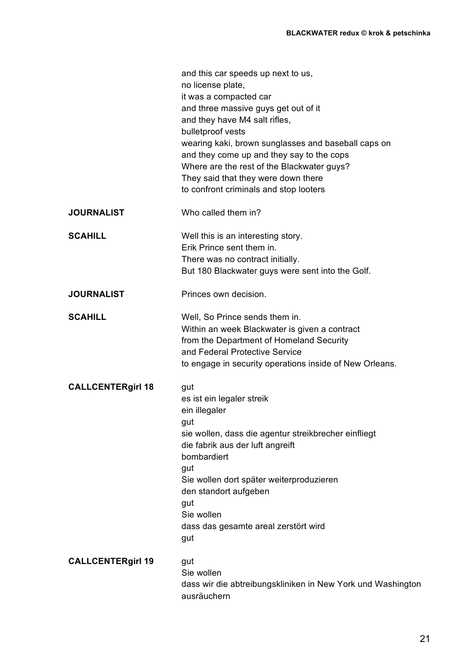|                          | and this car speeds up next to us,<br>no license plate,<br>it was a compacted car<br>and three massive guys get out of it<br>and they have M4 salt rifles,<br>bulletproof vests<br>wearing kaki, brown sunglasses and baseball caps on<br>and they come up and they say to the cops<br>Where are the rest of the Blackwater guys?<br>They said that they were down there<br>to confront criminals and stop looters |
|--------------------------|--------------------------------------------------------------------------------------------------------------------------------------------------------------------------------------------------------------------------------------------------------------------------------------------------------------------------------------------------------------------------------------------------------------------|
| <b>JOURNALIST</b>        | Who called them in?                                                                                                                                                                                                                                                                                                                                                                                                |
| <b>SCAHILL</b>           | Well this is an interesting story.<br>Erik Prince sent them in.<br>There was no contract initially.<br>But 180 Blackwater guys were sent into the Golf.                                                                                                                                                                                                                                                            |
| <b>JOURNALIST</b>        | Princes own decision.                                                                                                                                                                                                                                                                                                                                                                                              |
| <b>SCAHILL</b>           | Well, So Prince sends them in.<br>Within an week Blackwater is given a contract<br>from the Department of Homeland Security<br>and Federal Protective Service<br>to engage in security operations inside of New Orleans.                                                                                                                                                                                           |
| <b>CALLCENTERgirl 18</b> | gut<br>es ist ein legaler streik<br>ein illegaler<br>gut<br>sie wollen, dass die agentur streikbrecher einfliegt<br>die fabrik aus der luft angreift<br>bombardiert<br>gut<br>Sie wollen dort später weiterproduzieren<br>den standort aufgeben<br>gut<br>Sie wollen<br>dass das gesamte areal zerstört wird<br>gut                                                                                                |
| <b>CALLCENTERgirl 19</b> | gut<br>Sie wollen<br>dass wir die abtreibungskliniken in New York und Washington<br>ausräuchern                                                                                                                                                                                                                                                                                                                    |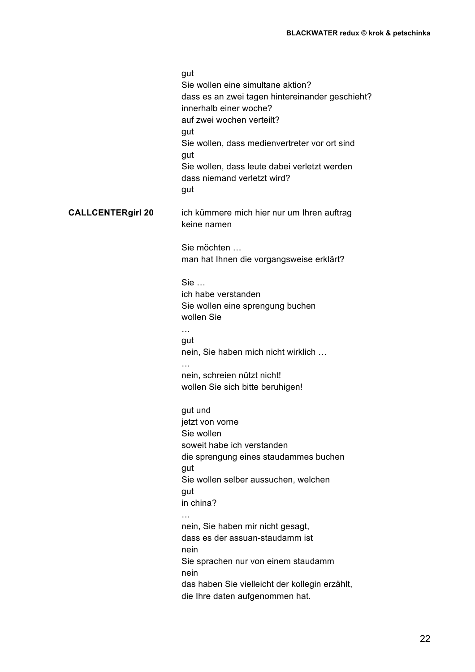|                          | gut<br>Sie wollen eine simultane aktion?<br>dass es an zwei tagen hintereinander geschieht?<br>innerhalb einer woche?<br>auf zwei wochen verteilt?<br>gut<br>Sie wollen, dass medienvertreter vor ort sind<br>gut<br>Sie wollen, dass leute dabei verletzt werden<br>dass niemand verletzt wird?<br>gut |
|--------------------------|---------------------------------------------------------------------------------------------------------------------------------------------------------------------------------------------------------------------------------------------------------------------------------------------------------|
| <b>CALLCENTERgirl 20</b> | ich kümmere mich hier nur um Ihren auftrag<br>keine namen                                                                                                                                                                                                                                               |
|                          | Sie möchten<br>man hat Ihnen die vorgangsweise erklärt?                                                                                                                                                                                                                                                 |
|                          | Sie<br>ich habe verstanden<br>Sie wollen eine sprengung buchen<br>wollen Sie<br>$\cdots$                                                                                                                                                                                                                |
|                          | gut<br>nein, Sie haben mich nicht wirklich                                                                                                                                                                                                                                                              |
|                          | $\cdots$<br>nein, schreien nützt nicht!<br>wollen Sie sich bitte beruhigen!                                                                                                                                                                                                                             |
|                          | gut und<br>jetzt von vorne<br>Sie wollen<br>soweit habe ich verstanden<br>die sprengung eines staudammes buchen<br>gut                                                                                                                                                                                  |
|                          | Sie wollen selber aussuchen, welchen<br>gut<br>in china?                                                                                                                                                                                                                                                |
|                          | nein, Sie haben mir nicht gesagt,<br>dass es der assuan-staudamm ist<br>nein                                                                                                                                                                                                                            |
|                          | Sie sprachen nur von einem staudamm<br>nein<br>das haben Sie vielleicht der kollegin erzählt,<br>die Ihre daten aufgenommen hat.                                                                                                                                                                        |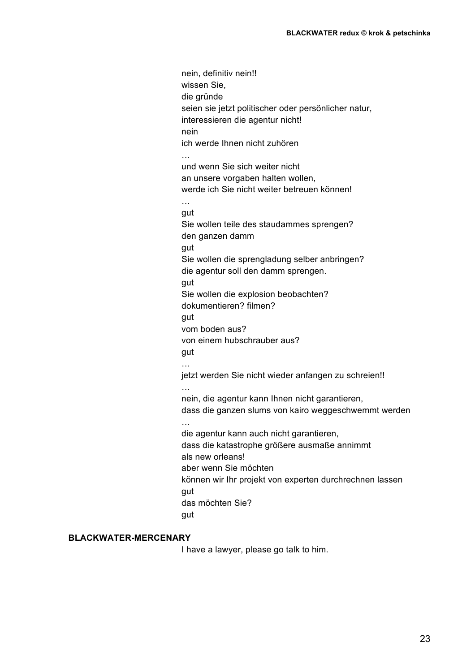nein, definitiv nein!! wissen Sie, die gründe seien sie jetzt politischer oder persönlicher natur, interessieren die agentur nicht! nein ich werde Ihnen nicht zuhören und wenn Sie sich weiter nicht an unsere vorgaben halten wollen, werde ich Sie nicht weiter betreuen können! … gut Sie wollen teile des staudammes sprengen? den ganzen damm gut Sie wollen die sprengladung selber anbringen? die agentur soll den damm sprengen. gut Sie wollen die explosion beobachten? dokumentieren? filmen? aut vom boden aus? von einem hubschrauber aus? gut … jetzt werden Sie nicht wieder anfangen zu schreien!! … nein, die agentur kann Ihnen nicht garantieren, dass die ganzen slums von kairo weggeschwemmt werden … die agentur kann auch nicht garantieren, dass die katastrophe größere ausmaße annimmt als new orleans! aber wenn Sie möchten können wir Ihr projekt von experten durchrechnen lassen gut das möchten Sie? aut

# **BLACKWATER-MERCENARY**

I have a lawyer, please go talk to him.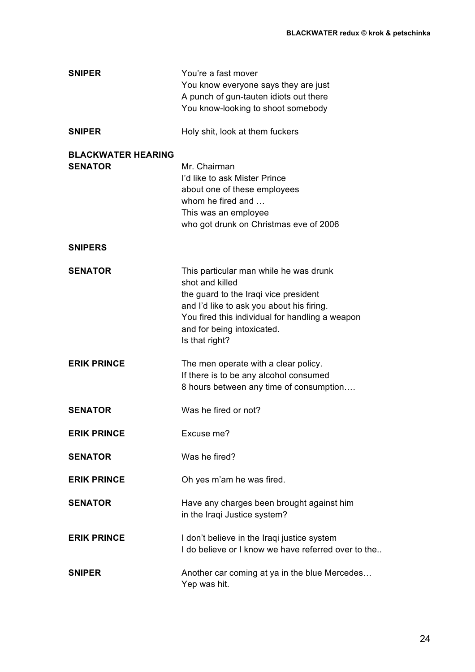| <b>SNIPER</b>                               | You're a fast mover<br>You know everyone says they are just<br>A punch of gun-tauten idiots out there<br>You know-looking to shoot somebody                                                                                                        |
|---------------------------------------------|----------------------------------------------------------------------------------------------------------------------------------------------------------------------------------------------------------------------------------------------------|
| <b>SNIPER</b>                               | Holy shit, look at them fuckers                                                                                                                                                                                                                    |
| <b>BLACKWATER HEARING</b><br><b>SENATOR</b> | Mr. Chairman<br>I'd like to ask Mister Prince<br>about one of these employees<br>whom he fired and<br>This was an employee<br>who got drunk on Christmas eve of 2006                                                                               |
| <b>SNIPERS</b>                              |                                                                                                                                                                                                                                                    |
| <b>SENATOR</b>                              | This particular man while he was drunk<br>shot and killed<br>the guard to the Iraqi vice president<br>and I'd like to ask you about his firing.<br>You fired this individual for handling a weapon<br>and for being intoxicated.<br>Is that right? |
| <b>ERIK PRINCE</b>                          | The men operate with a clear policy.<br>If there is to be any alcohol consumed<br>8 hours between any time of consumption                                                                                                                          |
| <b>SENATOR</b>                              | Was he fired or not?                                                                                                                                                                                                                               |
| <b>ERIK PRINCE</b>                          | Excuse me?                                                                                                                                                                                                                                         |
| <b>SENATOR</b>                              | Was he fired?                                                                                                                                                                                                                                      |
| <b>ERIK PRINCE</b>                          | Oh yes m'am he was fired.                                                                                                                                                                                                                          |
| <b>SENATOR</b>                              | Have any charges been brought against him<br>in the Iraqi Justice system?                                                                                                                                                                          |
| <b>ERIK PRINCE</b>                          | I don't believe in the Iraqi justice system<br>I do believe or I know we have referred over to the                                                                                                                                                 |
| <b>SNIPER</b>                               | Another car coming at ya in the blue Mercedes<br>Yep was hit.                                                                                                                                                                                      |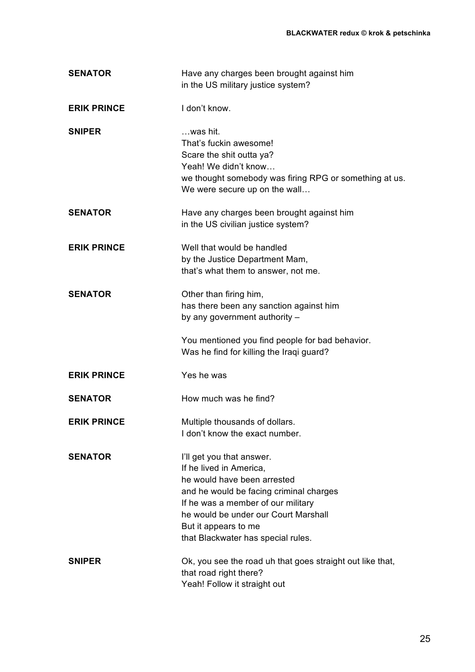| <b>SENATOR</b>     | Have any charges been brought against him<br>in the US military justice system?                                                                                                                                                                                            |
|--------------------|----------------------------------------------------------------------------------------------------------------------------------------------------------------------------------------------------------------------------------------------------------------------------|
| <b>ERIK PRINCE</b> | I don't know.                                                                                                                                                                                                                                                              |
| <b>SNIPER</b>      | was hit.<br>That's fuckin awesome!<br>Scare the shit outta ya?<br>Yeah! We didn't know<br>we thought somebody was firing RPG or something at us.<br>We were secure up on the wall                                                                                          |
| <b>SENATOR</b>     | Have any charges been brought against him<br>in the US civilian justice system?                                                                                                                                                                                            |
| <b>ERIK PRINCE</b> | Well that would be handled<br>by the Justice Department Mam,<br>that's what them to answer, not me.                                                                                                                                                                        |
| <b>SENATOR</b>     | Other than firing him,<br>has there been any sanction against him<br>by any government authority -<br>You mentioned you find people for bad behavior.                                                                                                                      |
|                    | Was he find for killing the Iraqi guard?                                                                                                                                                                                                                                   |
| <b>ERIK PRINCE</b> | Yes he was                                                                                                                                                                                                                                                                 |
| <b>SENATOR</b>     | How much was he find?                                                                                                                                                                                                                                                      |
| <b>ERIK PRINCE</b> | Multiple thousands of dollars.<br>I don't know the exact number.                                                                                                                                                                                                           |
| <b>SENATOR</b>     | I'll get you that answer.<br>If he lived in America,<br>he would have been arrested<br>and he would be facing criminal charges<br>If he was a member of our military<br>he would be under our Court Marshall<br>But it appears to me<br>that Blackwater has special rules. |
| <b>SNIPER</b>      | Ok, you see the road uh that goes straight out like that,<br>that road right there?<br>Yeah! Follow it straight out                                                                                                                                                        |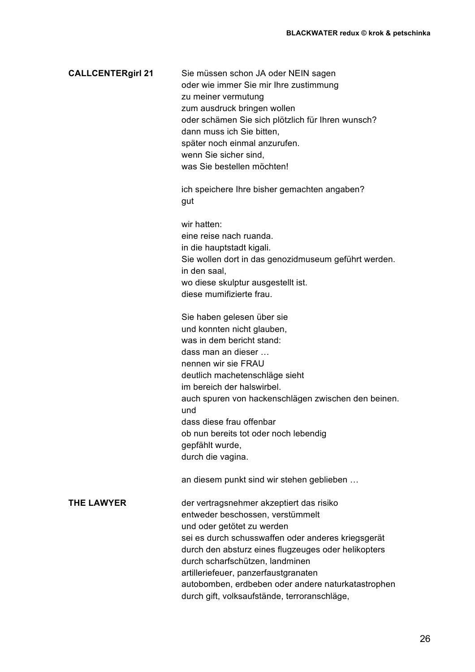| <b>CALLCENTERgirl 21</b> | Sie müssen schon JA oder NEIN sagen<br>oder wie immer Sie mir Ihre zustimmung<br>zu meiner vermutung<br>zum ausdruck bringen wollen<br>oder schämen Sie sich plötzlich für Ihren wunsch?<br>dann muss ich Sie bitten,<br>später noch einmal anzurufen.<br>wenn Sie sicher sind,<br>was Sie bestellen möchten!<br>ich speichere Ihre bisher gemachten angaben?<br>gut                                     |
|--------------------------|----------------------------------------------------------------------------------------------------------------------------------------------------------------------------------------------------------------------------------------------------------------------------------------------------------------------------------------------------------------------------------------------------------|
|                          | wir hatten:<br>eine reise nach ruanda.<br>in die hauptstadt kigali.<br>Sie wollen dort in das genozidmuseum geführt werden.<br>in den saal,<br>wo diese skulptur ausgestellt ist.<br>diese mumifizierte frau.                                                                                                                                                                                            |
|                          | Sie haben gelesen über sie<br>und konnten nicht glauben,<br>was in dem bericht stand:<br>dass man an dieser<br>nennen wir sie FRAU<br>deutlich machetenschläge sieht<br>im bereich der halswirbel.<br>auch spuren von hackenschlägen zwischen den beinen.<br>und<br>dass diese frau offenbar<br>ob nun bereits tot oder noch lebendig<br>gepfählt wurde,<br>durch die vagina.                            |
|                          | an diesem punkt sind wir stehen geblieben                                                                                                                                                                                                                                                                                                                                                                |
| <b>THE LAWYER</b>        | der vertragsnehmer akzeptiert das risiko<br>entweder beschossen, verstümmelt<br>und oder getötet zu werden<br>sei es durch schusswaffen oder anderes kriegsgerät<br>durch den absturz eines flugzeuges oder helikopters<br>durch scharfschützen, landminen<br>artilleriefeuer, panzerfaustgranaten<br>autobomben, erdbeben oder andere naturkatastrophen<br>durch gift, volksaufstände, terroranschläge, |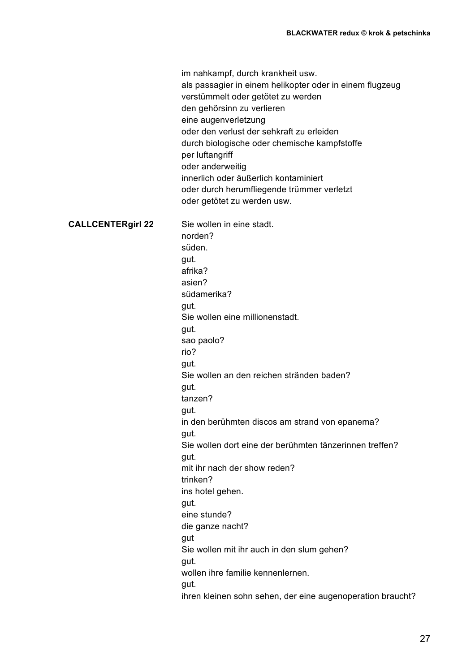|                          | im nahkampf, durch krankheit usw.<br>als passagier in einem helikopter oder in einem flugzeug<br>verstümmelt oder getötet zu werden<br>den gehörsinn zu verlieren<br>eine augenverletzung<br>oder den verlust der sehkraft zu erleiden<br>durch biologische oder chemische kampfstoffe<br>per luftangriff<br>oder anderweitig<br>innerlich oder äußerlich kontaminiert<br>oder durch herumfliegende trümmer verletzt<br>oder getötet zu werden usw. |
|--------------------------|-----------------------------------------------------------------------------------------------------------------------------------------------------------------------------------------------------------------------------------------------------------------------------------------------------------------------------------------------------------------------------------------------------------------------------------------------------|
| <b>CALLCENTERgirl 22</b> | Sie wollen in eine stadt.<br>norden?<br>süden.<br>gut.                                                                                                                                                                                                                                                                                                                                                                                              |
|                          | afrika?                                                                                                                                                                                                                                                                                                                                                                                                                                             |
|                          | asien?                                                                                                                                                                                                                                                                                                                                                                                                                                              |
|                          | südamerika?                                                                                                                                                                                                                                                                                                                                                                                                                                         |
|                          | gut.                                                                                                                                                                                                                                                                                                                                                                                                                                                |
|                          | Sie wollen eine millionenstadt.                                                                                                                                                                                                                                                                                                                                                                                                                     |
|                          | gut.                                                                                                                                                                                                                                                                                                                                                                                                                                                |
|                          | sao paolo?                                                                                                                                                                                                                                                                                                                                                                                                                                          |
|                          | rio?                                                                                                                                                                                                                                                                                                                                                                                                                                                |
|                          | gut.                                                                                                                                                                                                                                                                                                                                                                                                                                                |
|                          | Sie wollen an den reichen stränden baden?                                                                                                                                                                                                                                                                                                                                                                                                           |
|                          | gut.                                                                                                                                                                                                                                                                                                                                                                                                                                                |
|                          | tanzen?                                                                                                                                                                                                                                                                                                                                                                                                                                             |
|                          | gut.                                                                                                                                                                                                                                                                                                                                                                                                                                                |
|                          | in den berühmten discos am strand von epanema?                                                                                                                                                                                                                                                                                                                                                                                                      |
|                          | gut.                                                                                                                                                                                                                                                                                                                                                                                                                                                |
|                          | Sie wollen dort eine der berühmten tänzerinnen treffen?                                                                                                                                                                                                                                                                                                                                                                                             |
|                          | gut.                                                                                                                                                                                                                                                                                                                                                                                                                                                |
|                          | mit ihr nach der show reden?                                                                                                                                                                                                                                                                                                                                                                                                                        |
|                          | trinken?                                                                                                                                                                                                                                                                                                                                                                                                                                            |
|                          | ins hotel gehen.                                                                                                                                                                                                                                                                                                                                                                                                                                    |
|                          | gut.                                                                                                                                                                                                                                                                                                                                                                                                                                                |
|                          | eine stunde?                                                                                                                                                                                                                                                                                                                                                                                                                                        |
|                          | die ganze nacht?                                                                                                                                                                                                                                                                                                                                                                                                                                    |
|                          | gut                                                                                                                                                                                                                                                                                                                                                                                                                                                 |
|                          | Sie wollen mit ihr auch in den slum gehen?                                                                                                                                                                                                                                                                                                                                                                                                          |
|                          | gut.                                                                                                                                                                                                                                                                                                                                                                                                                                                |
|                          | wollen ihre familie kennenlernen.                                                                                                                                                                                                                                                                                                                                                                                                                   |
|                          | gut.                                                                                                                                                                                                                                                                                                                                                                                                                                                |
|                          | ihren kleinen sohn sehen, der eine augenoperation braucht?                                                                                                                                                                                                                                                                                                                                                                                          |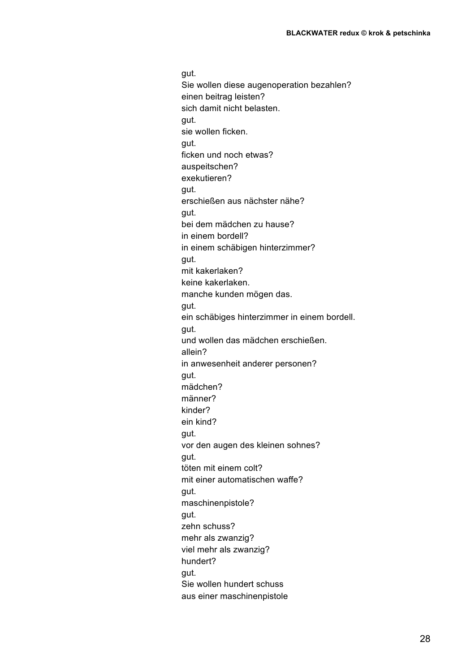gut. Sie wollen diese augenoperation bezahlen? einen beitrag leisten? sich damit nicht belasten. gut. sie wollen ficken. gut. ficken und noch etwas? auspeitschen? exekutieren? gut. erschießen aus nächster nähe? gut. bei dem mädchen zu hause? in einem bordell? in einem schäbigen hinterzimmer? gut. mit kakerlaken? keine kakerlaken. manche kunden mögen das. gut. ein schäbiges hinterzimmer in einem bordell. gut. und wollen das mädchen erschießen. allein? in anwesenheit anderer personen? gut. mädchen? männer? kinder? ein kind? gut. vor den augen des kleinen sohnes? gut. töten mit einem colt? mit einer automatischen waffe? gut. maschinenpistole? gut. zehn schuss? mehr als zwanzig? viel mehr als zwanzig? hundert? gut. Sie wollen hundert schuss aus einer maschinenpistole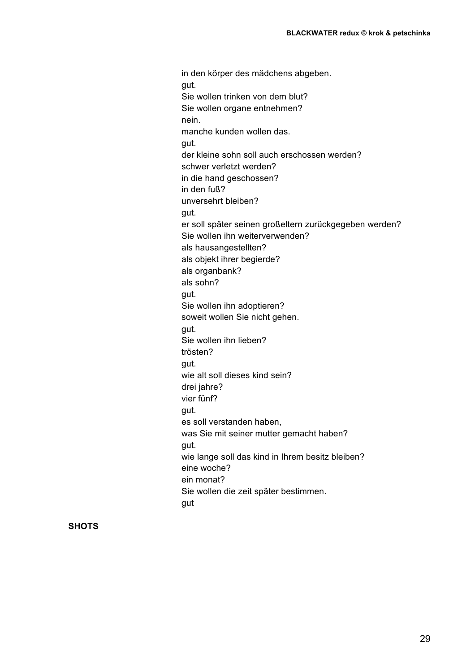in den körper des mädchens abgeben. gut. Sie wollen trinken von dem blut? Sie wollen organe entnehmen? nein. manche kunden wollen das. gut. der kleine sohn soll auch erschossen werden? schwer verletzt werden? in die hand geschossen? in den fuß? unversehrt bleiben? gut. er soll später seinen großeltern zurückgegeben werden? Sie wollen ihn weiterverwenden? als hausangestellten? als objekt ihrer begierde? als organbank? als sohn? gut. Sie wollen ihn adoptieren? soweit wollen Sie nicht gehen. gut. Sie wollen ihn lieben? trösten? gut. wie alt soll dieses kind sein? drei jahre? vier fünf? gut. es soll verstanden haben, was Sie mit seiner mutter gemacht haben? gut. wie lange soll das kind in Ihrem besitz bleiben? eine woche? ein monat? Sie wollen die zeit später bestimmen. gut

**SHOTS**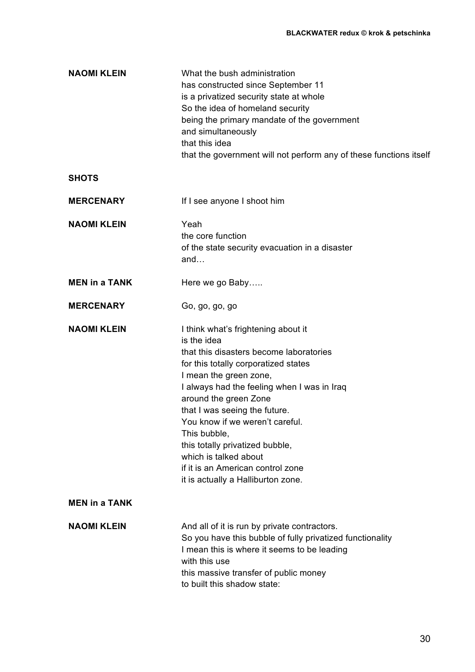| What the bush administration<br>has constructed since September 11<br>is a privatized security state at whole<br>So the idea of homeland security<br>being the primary mandate of the government<br>and simultaneously<br>that this idea<br>that the government will not perform any of these functions itself                                                                                                                                                     |
|--------------------------------------------------------------------------------------------------------------------------------------------------------------------------------------------------------------------------------------------------------------------------------------------------------------------------------------------------------------------------------------------------------------------------------------------------------------------|
|                                                                                                                                                                                                                                                                                                                                                                                                                                                                    |
| If I see anyone I shoot him                                                                                                                                                                                                                                                                                                                                                                                                                                        |
| Yeah<br>the core function<br>of the state security evacuation in a disaster<br>and                                                                                                                                                                                                                                                                                                                                                                                 |
| Here we go Baby                                                                                                                                                                                                                                                                                                                                                                                                                                                    |
| Go, go, go, go                                                                                                                                                                                                                                                                                                                                                                                                                                                     |
| I think what's frightening about it<br>is the idea<br>that this disasters become laboratories<br>for this totally corporatized states<br>I mean the green zone,<br>I always had the feeling when I was in Iraq<br>around the green Zone<br>that I was seeing the future.<br>You know if we weren't careful.<br>This bubble,<br>this totally privatized bubble,<br>which is talked about<br>if it is an American control zone<br>it is actually a Halliburton zone. |
|                                                                                                                                                                                                                                                                                                                                                                                                                                                                    |
| And all of it is run by private contractors.<br>So you have this bubble of fully privatized functionality<br>I mean this is where it seems to be leading<br>with this use<br>this massive transfer of public money<br>to built this shadow state:                                                                                                                                                                                                                  |
|                                                                                                                                                                                                                                                                                                                                                                                                                                                                    |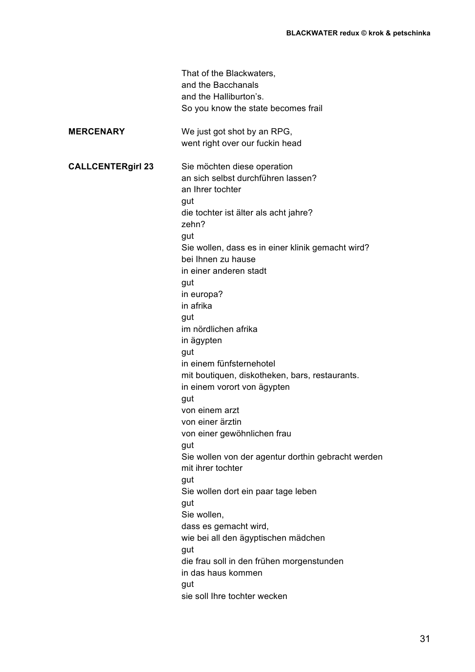|                          | That of the Blackwaters,<br>and the Bacchanals<br>and the Halliburton's.<br>So you know the state becomes frail  |
|--------------------------|------------------------------------------------------------------------------------------------------------------|
|                          |                                                                                                                  |
| <b>MERCENARY</b>         | We just got shot by an RPG,<br>went right over our fuckin head                                                   |
| <b>CALLCENTERgirl 23</b> | Sie möchten diese operation<br>an sich selbst durchführen lassen?<br>an Ihrer tochter<br>gut                     |
|                          | die tochter ist älter als acht jahre?<br>zehn?                                                                   |
|                          | gut<br>Sie wollen, dass es in einer klinik gemacht wird?<br>bei Ihnen zu hause<br>in einer anderen stadt         |
|                          | gut<br>in europa?<br>in afrika                                                                                   |
|                          | gut<br>im nördlichen afrika<br>in ägypten<br>gut                                                                 |
|                          | in einem fünfsternehotel<br>mit boutiquen, diskotheken, bars, restaurants.<br>in einem vorort von ägypten<br>gut |
|                          | von einem arzt<br>von einer ärztin                                                                               |
|                          | von einer gewöhnlichen frau<br>gut                                                                               |
|                          | Sie wollen von der agentur dorthin gebracht werden<br>mit ihrer tochter                                          |
|                          | gut<br>Sie wollen dort ein paar tage leben                                                                       |
|                          | gut<br>Sie wollen,                                                                                               |
|                          | dass es gemacht wird,<br>wie bei all den ägyptischen mädchen                                                     |
|                          | gut<br>die frau soll in den frühen morgenstunden<br>in das haus kommen                                           |
|                          | gut<br>sie soll Ihre tochter wecken                                                                              |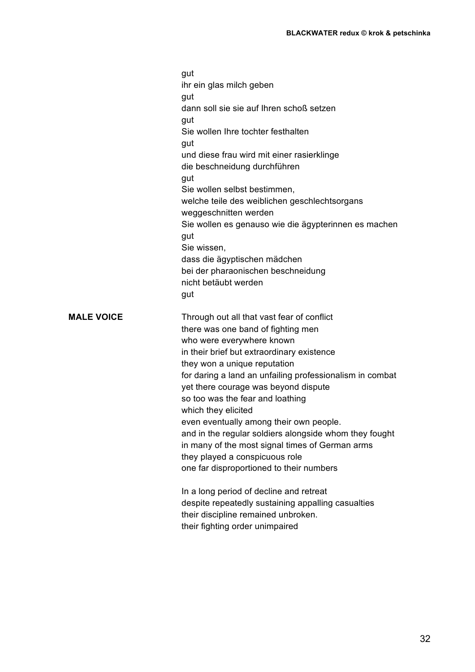|                   | gut<br>ihr ein glas milch geben                                                                           |
|-------------------|-----------------------------------------------------------------------------------------------------------|
|                   | gut<br>dann soll sie sie auf Ihren schoß setzen                                                           |
|                   | gut<br>Sie wollen Ihre tochter festhalten                                                                 |
|                   | gut<br>und diese frau wird mit einer rasierklinge                                                         |
|                   | die beschneidung durchführen                                                                              |
|                   | gut<br>Sie wollen selbst bestimmen,                                                                       |
|                   | welche teile des weiblichen geschlechtsorgans<br>weggeschnitten werden                                    |
|                   | Sie wollen es genauso wie die ägypterinnen es machen<br>gut                                               |
|                   | Sie wissen,                                                                                               |
|                   | dass die ägyptischen mädchen<br>bei der pharaonischen beschneidung                                        |
|                   | nicht betäubt werden<br>gut                                                                               |
| <b>MALE VOICE</b> | Through out all that vast fear of conflict                                                                |
|                   | there was one band of fighting men<br>who were everywhere known                                           |
|                   | in their brief but extraordinary existence                                                                |
|                   | they won a unique reputation<br>for daring a land an unfailing professionalism in combat                  |
|                   | yet there courage was beyond dispute<br>so too was the fear and loathing                                  |
|                   | which they elicited                                                                                       |
|                   | even eventually among their own people.                                                                   |
|                   | and in the regular soldiers alongside whom they fought<br>in many of the most signal times of German arms |
|                   | they played a conspicuous role<br>one far disproportioned to their numbers                                |
|                   |                                                                                                           |
|                   | In a long period of decline and retreat<br>despite repeatedly sustaining appalling casualties             |
|                   | their discipline remained unbroken.<br>their fighting order unimpaired                                    |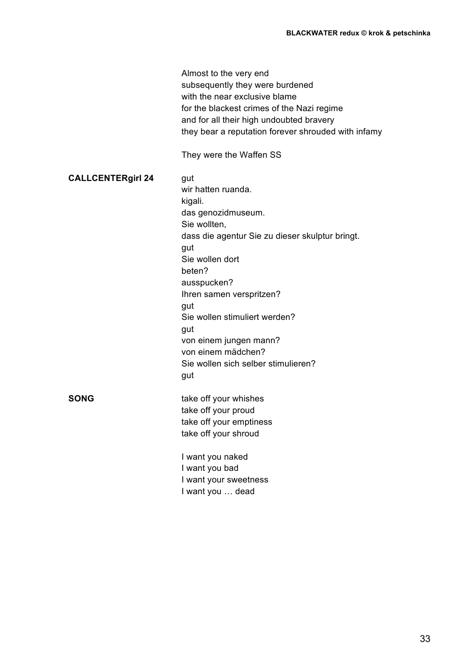|                          | Almost to the very end<br>subsequently they were burdened<br>with the near exclusive blame<br>for the blackest crimes of the Nazi regime<br>and for all their high undoubted bravery<br>they bear a reputation forever shrouded with infamy<br>They were the Waffen SS |
|--------------------------|------------------------------------------------------------------------------------------------------------------------------------------------------------------------------------------------------------------------------------------------------------------------|
| <b>CALLCENTERgirl 24</b> | gut<br>wir hatten ruanda.<br>kigali.<br>das genozidmuseum.<br>Sie wollten,<br>dass die agentur Sie zu dieser skulptur bringt.<br>gut<br>Sie wollen dort<br>beten?<br>ausspucken?<br>Ihren samen verspritzen?<br>gut<br>Sie wollen stimuliert werden?                   |
|                          | gut<br>von einem jungen mann?<br>von einem mädchen?<br>Sie wollen sich selber stimulieren?<br>gut                                                                                                                                                                      |
| <b>SONG</b>              | take off your whishes<br>take off your proud<br>take off your emptiness<br>take off your shroud                                                                                                                                                                        |
|                          | I want you naked<br>I want you bad<br>I want your sweetness<br>I want you  dead                                                                                                                                                                                        |